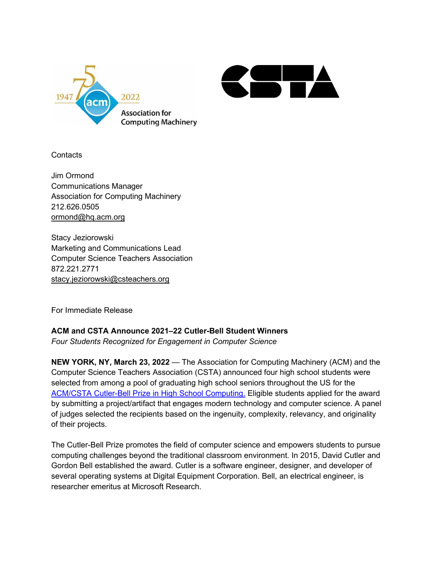



**Contacts** 

Jim Ormond Communications Manager Association for Computing Machinery 212.626.0505 [ormond@hq.acm.org](mailto:ormond@hq.acm.org)

Stacy Jeziorowski Marketing and Communications Lead Computer Science Teachers Association 872.221.2771 [stacy.jeziorowski@csteachers.org](mailto:stacy.jeziorowski@csteachers.org)

For Immediate Release

## **ACM and CSTA Announce 2021–22 Cutler-Bell Student Winners**

*Four Students Recognized for Engagement in Computer Science* 

**NEW YORK, NY, March 23, 2022** — The Association for Computing Machinery (ACM) and the Computer Science Teachers Association (CSTA) announced four high school students were selected from among a pool of graduating high school seniors throughout the US for the [ACM/CSTA Cutler-Bell Prize in High School Computing.](https://awards.acm.org/cutler-bell) Eligible students applied for the award by submitting a project/artifact that engages modern technology and computer science. A panel of judges selected the recipients based on the ingenuity, complexity, relevancy, and originality of their projects.

The Cutler-Bell Prize promotes the field of computer science and empowers students to pursue computing challenges beyond the traditional classroom environment. In 2015, David Cutler and Gordon Bell established the award. Cutler is a software engineer, designer, and developer of several operating systems at Digital Equipment Corporation. Bell, an electrical engineer, is researcher emeritus at Microsoft Research.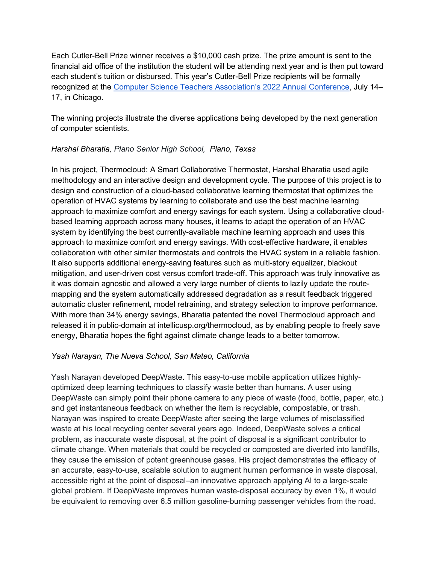Each Cutler-Bell Prize winner receives a \$10,000 cash prize. The prize amount is sent to the financial aid office of the institution the student will be attending next year and is then put toward each student's tuition or disbursed. This year's Cutler-Bell Prize recipients will be formally recognized at the [Computer Science Teachers Association's 2022 Annual Conference,](http://conference.csteachers.org/) July 14– 17, in Chicago.

The winning projects illustrate the diverse applications being developed by the next generation of computer scientists.

# *Harshal Bharatia, Plano Senior High School, Plano, Texas*

In his project, Thermocloud: A Smart Collaborative Thermostat, Harshal Bharatia used agile methodology and an interactive design and development cycle. The purpose of this project is to design and construction of a cloud-based collaborative learning thermostat that optimizes the operation of HVAC systems by learning to collaborate and use the best machine learning approach to maximize comfort and energy savings for each system. Using a collaborative cloudbased learning approach across many houses, it learns to adapt the operation of an HVAC system by identifying the best currently-available machine learning approach and uses this approach to maximize comfort and energy savings. With cost-effective hardware, it enables collaboration with other similar thermostats and controls the HVAC system in a reliable fashion. It also supports additional energy-saving features such as multi-story equalizer, blackout mitigation, and user-driven cost versus comfort trade-off. This approach was truly innovative as it was domain agnostic and allowed a very large number of clients to lazily update the routemapping and the system automatically addressed degradation as a result feedback triggered automatic cluster refinement, model retraining, and strategy selection to improve performance. With more than 34% energy savings, Bharatia patented the novel Thermocloud approach and released it in public-domain at intellicusp.org/thermocloud, as by enabling people to freely save energy, Bharatia hopes the fight against climate change leads to a better tomorrow.

## *Yash Narayan, The Nueva School, San Mateo, California*

Yash Narayan developed DeepWaste. This easy-to-use mobile application utilizes highlyoptimized deep learning techniques to classify waste better than humans. A user using DeepWaste can simply point their phone camera to any piece of waste (food, bottle, paper, etc.) and get instantaneous feedback on whether the item is recyclable, compostable, or trash. Narayan was inspired to create DeepWaste after seeing the large volumes of misclassified waste at his local recycling center several years ago. Indeed, DeepWaste solves a critical problem, as inaccurate waste disposal, at the point of disposal is a significant contributor to climate change. When materials that could be recycled or composted are diverted into landfills, they cause the emission of potent greenhouse gases. His project demonstrates the efficacy of an accurate, easy-to-use, scalable solution to augment human performance in waste disposal, accessible right at the point of disposal–an innovative approach applying AI to a large-scale global problem. If DeepWaste improves human waste-disposal accuracy by even 1%, it would be equivalent to removing over 6.5 million gasoline-burning passenger vehicles from the road.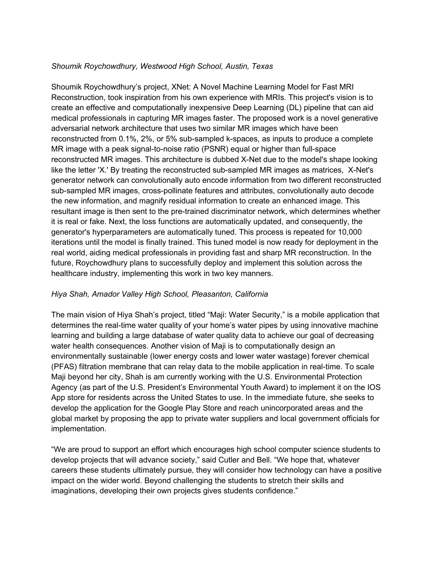### *Shoumik Roychowdhury, Westwood High School, Austin, Texas*

Shoumik Roychowdhury's project, XNet: A Novel Machine Learning Model for Fast MRI Reconstruction, took inspiration from his own experience with MRIs. This project's vision is to create an effective and computationally inexpensive Deep Learning (DL) pipeline that can aid medical professionals in capturing MR images faster. The proposed work is a novel generative adversarial network architecture that uses two similar MR images which have been reconstructed from 0.1%, 2%, or 5% sub-sampled k-spaces, as inputs to produce a complete MR image with a peak signal-to-noise ratio (PSNR) equal or higher than full-space reconstructed MR images. This architecture is dubbed X-Net due to the model's shape looking like the letter 'X.' By treating the reconstructed sub-sampled MR images as matrices, X-Net's generator network can convolutionally auto encode information from two different reconstructed sub-sampled MR images, cross-pollinate features and attributes, convolutionally auto decode the new information, and magnify residual information to create an enhanced image. This resultant image is then sent to the pre-trained discriminator network, which determines whether it is real or fake. Next, the loss functions are automatically updated, and consequently, the generator's hyperparameters are automatically tuned. This process is repeated for 10,000 iterations until the model is finally trained. This tuned model is now ready for deployment in the real world, aiding medical professionals in providing fast and sharp MR reconstruction. In the future, Roychowdhury plans to successfully deploy and implement this solution across the healthcare industry, implementing this work in two key manners.

## *Hiya Shah, Amador Valley High School, Pleasanton, California*

The main vision of Hiya Shah's project, titled "Maji: Water Security," is a mobile application that determines the real-time water quality of your home's water pipes by using innovative machine learning and building a large database of water quality data to achieve our goal of decreasing water health consequences. Another vision of Maji is to computationally design an environmentally sustainable (lower energy costs and lower water wastage) forever chemical (PFAS) filtration membrane that can relay data to the mobile application in real-time. To scale Maji beyond her city, Shah is am currently working with the U.S. Environmental Protection Agency (as part of the U.S. President's Environmental Youth Award) to implement it on the IOS App store for residents across the United States to use. In the immediate future, she seeks to develop the application for the Google Play Store and reach unincorporated areas and the global market by proposing the app to private water suppliers and local government officials for implementation.

"We are proud to support an effort which encourages high school computer science students to develop projects that will advance society," said Cutler and Bell. "We hope that, whatever careers these students ultimately pursue, they will consider how technology can have a positive impact on the wider world. Beyond challenging the students to stretch their skills and imaginations, developing their own projects gives students confidence."